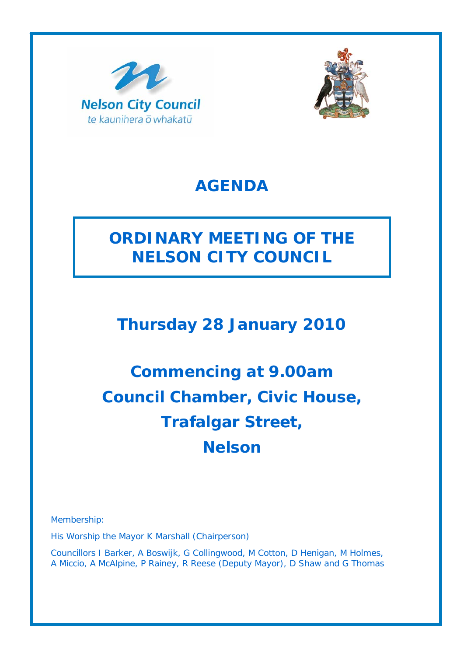



# **AGENDA**

# **ORDINARY MEETING OF THE NELSON CITY COUNCIL**

# **Thursday 28 January 2010**

# **Commencing at 9.00am Council Chamber, Civic House, Trafalgar Street, Nelson**

Membership:

His Worship the Mayor K Marshall (Chairperson)

Councillors I Barker, A Boswijk, G Collingwood, M Cotton, D Henigan, M Holmes, A Miccio, A McAlpine, P Rainey, R Reese (Deputy Mayor), D Shaw and G Thomas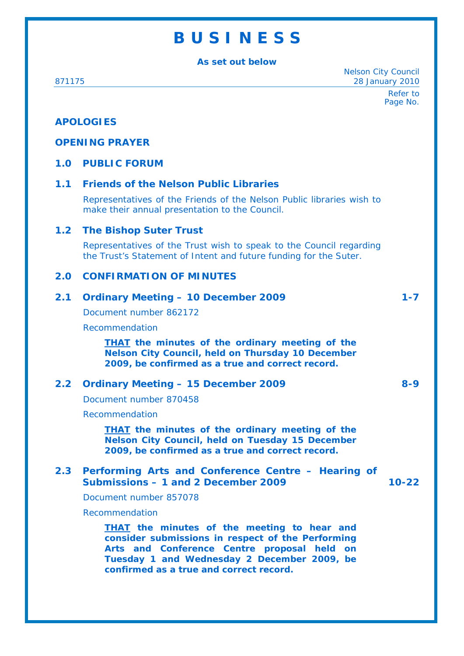# **B U S I N E S S**

**As set out below** 

Nelson City Council 871175 28 January 2010

> Refer to Page No.

# **APOLOGIES**

## **OPENING PRAYER**

## **1.0 PUBLIC FORUM**

## **1.1 Friends of the Nelson Public Libraries**

Representatives of the Friends of the Nelson Public libraries wish to make their annual presentation to the Council.

### **1.2 The Bishop Suter Trust**

Representatives of the Trust wish to speak to the Council regarding the Trust's Statement of Intent and future funding for the Suter.

#### **2.0 CONFIRMATION OF MINUTES**

| 2.1           | <b>Ordinary Meeting - 10 December 2009</b>                                                                                                                                                                                                       | $1 - 7$   |
|---------------|--------------------------------------------------------------------------------------------------------------------------------------------------------------------------------------------------------------------------------------------------|-----------|
|               | Document number 862172                                                                                                                                                                                                                           |           |
|               | Recommendation                                                                                                                                                                                                                                   |           |
|               | <b>THAT</b> the minutes of the ordinary meeting of the<br><b>Nelson City Council, held on Thursday 10 December</b><br>2009, be confirmed as a true and correct record.                                                                           |           |
| $2.2^{\circ}$ | <b>Ordinary Meeting - 15 December 2009</b>                                                                                                                                                                                                       | $8 - 9$   |
|               | Document number 870458                                                                                                                                                                                                                           |           |
|               | Recommendation                                                                                                                                                                                                                                   |           |
|               | <b>THAT</b> the minutes of the ordinary meeting of the<br><b>Nelson City Council, held on Tuesday 15 December</b><br>2009, be confirmed as a true and correct record.                                                                            |           |
| 2.3           | Performing Arts and Conference Centre - Hearing of<br>Submissions - 1 and 2 December 2009                                                                                                                                                        | $10 - 22$ |
|               | Document number 857078                                                                                                                                                                                                                           |           |
|               | Recommendation                                                                                                                                                                                                                                   |           |
|               | <b>THAT</b> the minutes of the meeting to hear and<br>consider submissions in respect of the Performing<br>Arts and Conference Centre proposal held on<br>Tuesday 1 and Wednesday 2 December 2009, be<br>confirmed as a true and correct record. |           |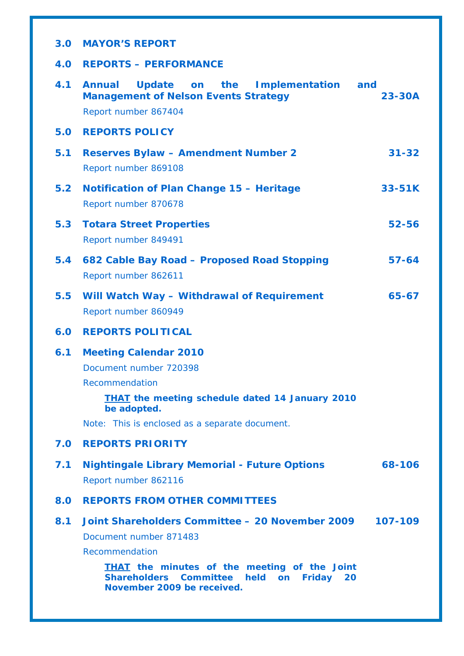| 3.0 | <b>MAYOR'S REPORT</b>                                                                                                |                   |
|-----|----------------------------------------------------------------------------------------------------------------------|-------------------|
| 4.0 | <b>REPORTS - PERFORMANCE</b>                                                                                         |                   |
| 4.1 | Update on the Implementation<br><b>Annual</b><br><b>Management of Nelson Events Strategy</b><br>Report number 867404 | and<br>$23 - 30A$ |
| 5.0 | <b>REPORTS POLICY</b>                                                                                                |                   |
| 5.1 | <b>Reserves Bylaw - Amendment Number 2</b><br>Report number 869108                                                   | $31 - 32$         |
| 5.2 | Notification of Plan Change 15 - Heritage<br>Report number 870678                                                    | 33-51K            |
| 5.3 | <b>Totara Street Properties</b><br>Report number 849491                                                              | $52 - 56$         |
| 5.4 | 682 Cable Bay Road - Proposed Road Stopping<br>Report number 862611                                                  | $57 - 64$         |
| 5.5 | Will Watch Way - Withdrawal of Requirement<br>Report number 860949                                                   | 65-67             |
|     |                                                                                                                      |                   |
| 6.0 | <b>REPORTS POLITICAL</b>                                                                                             |                   |
| 6.1 | <b>Meeting Calendar 2010</b>                                                                                         |                   |
|     | Document number 720398                                                                                               |                   |
|     | Recommendation                                                                                                       |                   |
|     | <b>THAT the meeting schedule dated 14 January 2010</b><br>be adopted.                                                |                   |
|     | Note: This is enclosed as a separate document.                                                                       |                   |
| 7.0 | <b>REPORTS PRIORITY</b>                                                                                              |                   |
| 7.1 | <b>Nightingale Library Memorial - Future Options</b>                                                                 | 68-106            |
|     | Report number 862116                                                                                                 |                   |
| 8.0 | <b>REPORTS FROM OTHER COMMITTEES</b>                                                                                 |                   |
| 8.1 | Joint Shareholders Committee - 20 November 2009                                                                      | 107-109           |
|     | Document number 871483                                                                                               |                   |
|     | Recommendation                                                                                                       |                   |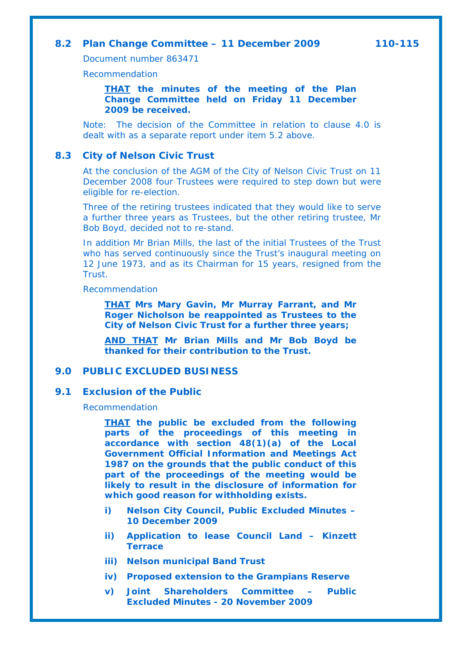### **8.2 Plan Change Committee – 11 December 2009 110-115**

Document number 863471

Recommendation

*THAT the minutes of the meeting of the Plan Change Committee held on Friday 11 December 2009 be received.*

Note: The decision of the Committee in relation to clause 4.0 is dealt with as a separate report under item 5.2 above.

#### **8.3 City of Nelson Civic Trust**

At the conclusion of the AGM of the City of Nelson Civic Trust on 11 December 2008 four Trustees were required to step down but were eligible for re-election.

Three of the retiring trustees indicated that they would like to serve a further three years as Trustees, but the other retiring trustee, Mr Bob Boyd, decided not to re-stand.

In addition Mr Brian Mills, the last of the initial Trustees of the Trust who has served continuously since the Trust's inaugural meeting on 12 June 1973, and as its Chairman for 15 years, resigned from the Trust.

Recommendation

*THAT Mrs Mary Gavin, Mr Murray Farrant, and Mr Roger Nicholson be reappointed as Trustees to the City of Nelson Civic Trust for a further three years;* 

*AND THAT Mr Brian Mills and Mr Bob Boyd be thanked for their contribution to the Trust.* 

### **9.0 PUBLIC EXCLUDED BUSINESS**

#### **9.1 Exclusion of the Public**

Recommendation

*THAT the public be excluded from the following parts of the proceedings of this meeting in accordance with section 48(1)(a) of the Local Government Official Information and Meetings Act 1987 on the grounds that the public conduct of this part of the proceedings of the meeting would be likely to result in the disclosure of information for which good reason for withholding exists.* 

- *i) Nelson City Council, Public Excluded Minutes 10 December 2009*
- *ii) Application to lease Council Land Kinzett Terrace*
- *iii) Nelson municipal Band Trust*
- *iv) Proposed extension to the Grampians Reserve*
- *v) Joint Shareholders Committee Public Excluded Minutes - 20 November 2009*